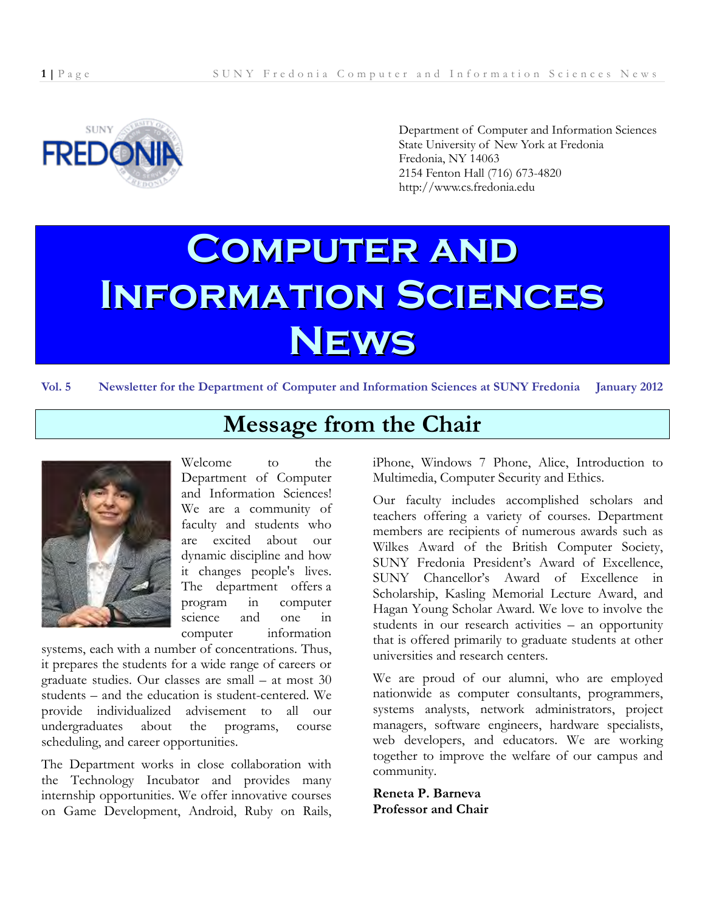

Department of Computer and Information Sciences State University of New York at Fredonia Fredonia, NY 14063 2154 Fenton Hall (716) 673-4820 http://www.cs.fredonia.edu

# **Computer and Information Sciences News**

**Vol. 5 Newsletter for the Department of Computer and Information Sciences at SUNY Fredonia January 2012**



**Message from the Chair**

Welcome to the Department of Computer and Information Sciences! We are a community of faculty and students who are excited about our dynamic discipline and how it changes people's lives. The department offers a program in computer science and one in computer information

systems, each with a number of concentrations. Thus, it prepares the students for a wide range of careers or graduate studies. Our classes are small – at most 30 students – and the education is student-centered. We provide individualized advisement to all our undergraduates about the programs, course scheduling, and career opportunities.

The Department works in close collaboration with the Technology Incubator and provides many internship opportunities. We offer innovative courses on Game Development, Android, Ruby on Rails, iPhone, Windows 7 Phone, Alice, Introduction to Multimedia, Computer Security and Ethics.

Our faculty includes accomplished scholars and teachers offering a variety of courses. Department members are recipients of numerous awards such as Wilkes Award of the British Computer Society, SUNY Fredonia President's Award of Excellence, SUNY Chancellor's Award of Excellence in Scholarship, Kasling Memorial Lecture Award, and Hagan Young Scholar Award. We love to involve the students in our research activities – an opportunity that is offered primarily to graduate students at other universities and research centers.

We are proud of our alumni, who are employed nationwide as computer consultants, programmers, systems analysts, network administrators, project managers, software engineers, hardware specialists, web developers, and educators. We are working together to improve the welfare of our campus and community.

**Reneta P. Barneva Professor and Chair**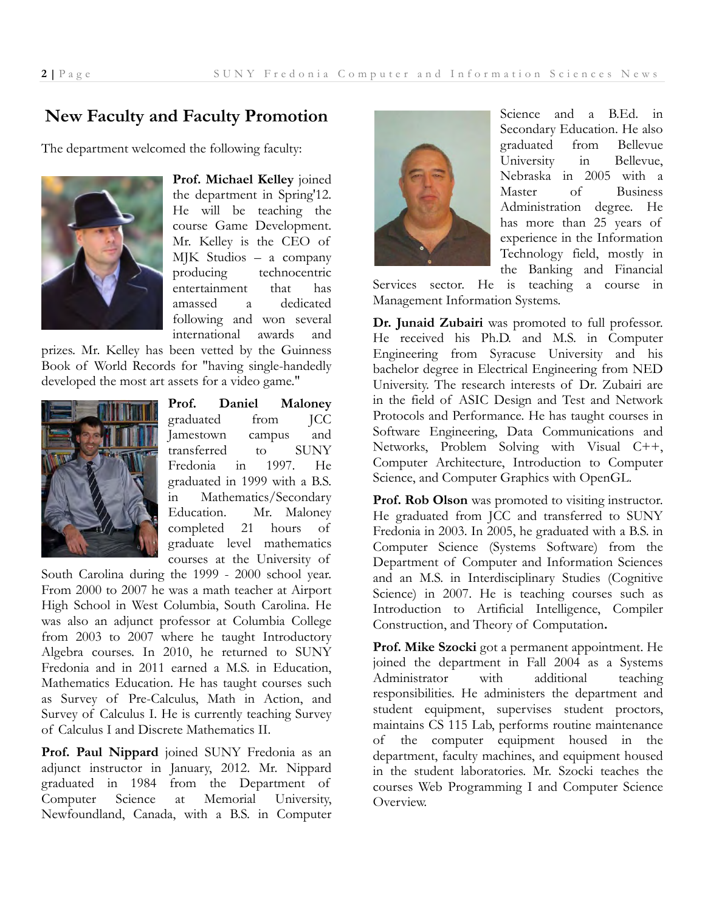# **New Faculty and Faculty Promotion**

The department welcomed the following faculty:



**Prof. Michael Kelley** joined the department in Spring'12. He will be teaching the course Game Development. Mr. Kelley is the CEO of MJK Studios – a company producing technocentric entertainment that has amassed a dedicated following and won several international awards and

prizes. Mr. Kelley has been vetted by the Guinness Book of World Records for "having single-handedly developed the most art assets for a video game."



**Prof. Daniel Maloney** graduated from JCC Jamestown campus and transferred to SUNY Fredonia in 1997. He graduated in 1999 with a B.S. in Mathematics/Secondary Education. Mr. Maloney completed 21 hours of graduate level mathematics courses at the University of

South Carolina during the 1999 - 2000 school year. From 2000 to 2007 he was a math teacher at Airport High School in West Columbia, South Carolina. He was also an adjunct professor at Columbia College from 2003 to 2007 where he taught Introductory Algebra courses. In 2010, he returned to SUNY Fredonia and in 2011 earned a M.S. in Education, Mathematics Education. He has taught courses such as Survey of Pre-Calculus, Math in Action, and Survey of Calculus I. He is currently teaching Survey of Calculus I and Discrete Mathematics II.

**Prof. Paul Nippard** joined SUNY Fredonia as an adjunct instructor in January, 2012. Mr. Nippard graduated in 1984 from the Department of Computer Science at Memorial University, Newfoundland, Canada, with a B.S. in Computer



Science and a B.Ed. in Secondary Education. He also graduated from Bellevue University in Bellevue, Nebraska in 2005 with a Master of Business Administration degree. He has more than 25 years of experience in the Information Technology field, mostly in the Banking and Financial

Services sector. He is teaching a course in Management Information Systems.

**Dr. Junaid Zubairi** was promoted to full professor. He received his Ph.D. and M.S. in Computer Engineering from Syracuse University and his bachelor degree in Electrical Engineering from NED University. The research interests of Dr. Zubairi are in the field of ASIC Design and Test and Network Protocols and Performance. He has taught courses in Software Engineering, Data Communications and Networks, Problem Solving with Visual C++, Computer Architecture, Introduction to Computer Science, and Computer Graphics with OpenGL.

**Prof. Rob Olson** was promoted to visiting instructor. He graduated from JCC and transferred to SUNY Fredonia in 2003. In 2005, he graduated with a B.S. in Computer Science (Systems Software) from the Department of Computer and Information Sciences and an M.S. in Interdisciplinary Studies (Cognitive Science) in 2007. He is teaching courses such as Introduction to Artificial Intelligence, Compiler Construction, and Theory of Computation**.** 

**Prof. Mike Szocki** got a permanent appointment. He joined the department in Fall 2004 as a Systems Administrator with additional teaching responsibilities. He administers the department and student equipment, supervises student proctors, maintains CS 115 Lab, performs routine maintenance of the computer equipment housed in the department, faculty machines, and equipment housed in the student laboratories. Mr. Szocki teaches the courses Web Programming I and Computer Science Overview.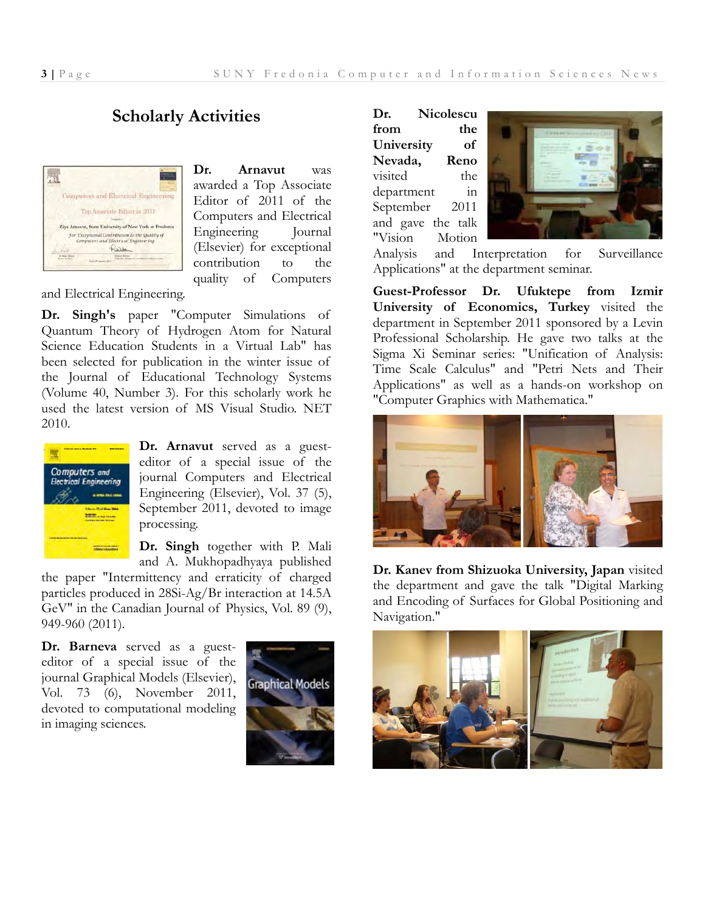# **Scholarly Activities**



**Dr. Arnavut** was awarded a Top Associate Editor of 2011 of the Computers and Electrical Engineering Journal (Elsevier) for exceptional contribution to the quality of Computers

and Electrical Engineering.

**Dr. Singh's** paper "Computer Simulations of Quantum Theory of Hydrogen Atom for Natural Science Education Students in a Virtual Lab" has been selected for publication in the winter issue of the Journal of Educational Technology Systems (Volume 40, Number 3). For this scholarly work he used the latest version of MS Visual Studio. NET 2010.



**Dr. Arnavut** served as a guesteditor of a special issue of the journal Computers and Electrical Engineering (Elsevier), Vol. 37 (5), September 2011, devoted to image processing.

**Dr. Singh** together with P. Mali and A. Mukhopadhyaya published

the paper "Intermittency and erraticity of charged particles produced in 28Si-Ag/Br interaction at 14.5A GeV" in the Canadian Journal of Physics, Vol. 89 (9), 949-960 (2011).

**Dr. Barneva** served as a guesteditor of a special issue of the journal Graphical Models (Elsevier), Vol. 73 (6), November 2011, devoted to computational modeling in imaging sciences.



**Dr. Nicolescu from the University of Nevada, Reno**  visited the department in September 2011 and gave the talk "Vision Motion



Analysis and Interpretation for Surveillance Applications" at the department seminar.

**Guest-Professor Dr. Ufuktepe from Izmir University of Economics, Turkey** visited the department in September 2011 sponsored by a Levin Professional Scholarship. He gave two talks at the Sigma Xi Seminar series: "Unification of Analysis: Time Scale Calculus" and "Petri Nets and Their Applications" as well as a hands-on workshop on "Computer Graphics with Mathematica."



**Dr. Kanev from Shizuoka University, Japan** visited the department and gave the talk "Digital Marking and Encoding of Surfaces for Global Positioning and Navigation."

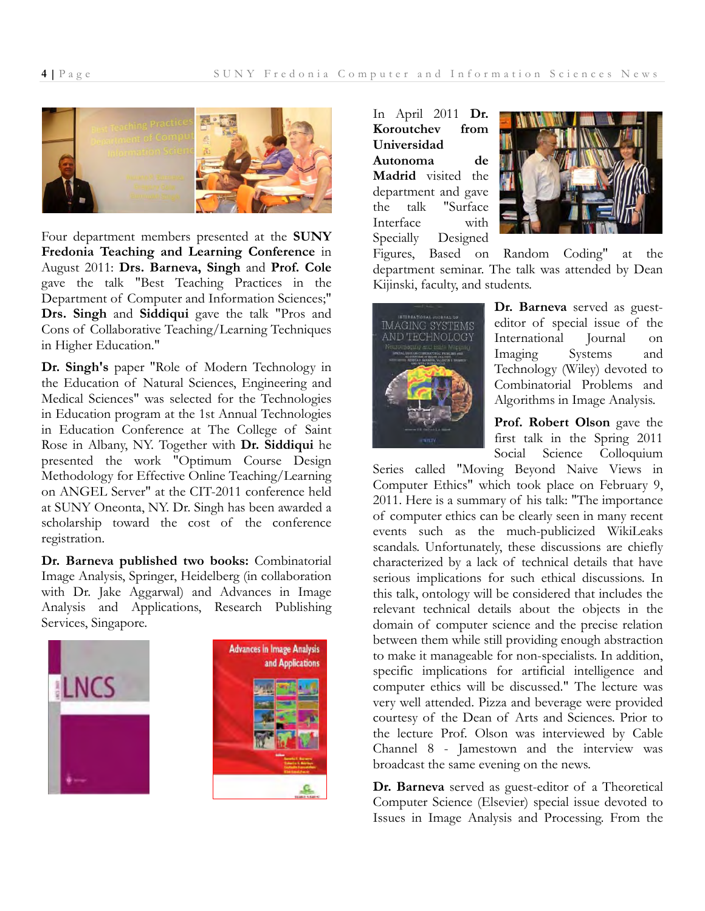

Four department members presented at the **SUNY Fredonia Teaching and Learning Conference** in August 2011: **Drs. Barneva, Singh** and **Prof. Cole** gave the talk "Best Teaching Practices in the Department of Computer and Information Sciences;" **Drs. Singh** and **Siddiqui** gave the talk "Pros and Cons of Collaborative Teaching/Learning Techniques in Higher Education."

**Dr. Singh's** paper "Role of Modern Technology in the Education of Natural Sciences, Engineering and Medical Sciences" was selected for the Technologies in Education program at the 1st Annual Technologies in Education Conference at The College of Saint Rose in Albany, NY. Together with **Dr. Siddiqui** he presented the work "Optimum Course Design Methodology for Effective Online Teaching/Learning on ANGEL Server" at the CIT-2011 conference held at SUNY Oneonta, NY. Dr. Singh has been awarded a scholarship toward the cost of the conference registration.

**Dr. Barneva published two books:** Combinatorial Image Analysis, Springer, Heidelberg (in collaboration with Dr. Jake Aggarwal) and Advances in Image Analysis and Applications, Research Publishing Services, Singapore.





In April 2011 **Dr. Koroutchev from Universidad Autonoma de Madrid** visited the department and gave the talk "Surface Interface with Specially Designed



Figures, Based on Random Coding" at the department seminar. The talk was attended by Dean Kijinski, faculty, and students.



**Dr. Barneva** served as guesteditor of special issue of the International Journal on Imaging Systems and Technology (Wiley) devoted to Combinatorial Problems and Algorithms in Image Analysis.

**Prof. Robert Olson** gave the first talk in the Spring 2011 Social Science Colloquium

Series called "Moving Beyond Naive Views in Computer Ethics" which took place on February 9, 2011. Here is a summary of his talk: "The importance of computer ethics can be clearly seen in many recent events such as the much-publicized WikiLeaks scandals. Unfortunately, these discussions are chiefly characterized by a lack of technical details that have serious implications for such ethical discussions. In this talk, ontology will be considered that includes the relevant technical details about the objects in the domain of computer science and the precise relation between them while still providing enough abstraction to make it manageable for non-specialists. In addition, specific implications for artificial intelligence and computer ethics will be discussed." The lecture was very well attended. Pizza and beverage were provided courtesy of the Dean of Arts and Sciences. Prior to the lecture Prof. Olson was interviewed by Cable Channel 8 - Jamestown and the interview was broadcast the same evening on the news.

**Dr. Barneva** served as guest-editor of a Theoretical Computer Science (Elsevier) special issue devoted to Issues in Image Analysis and Processing. From the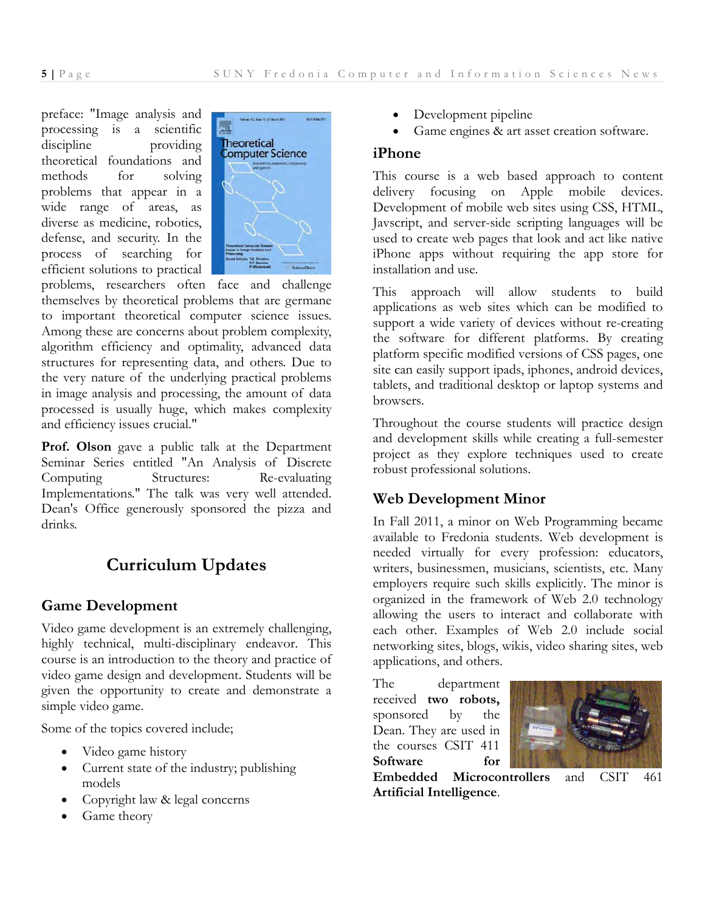preface: "Image analysis and processing is a scientific discipline providing theoretical foundations and methods for solving problems that appear in a wide range of areas, as diverse as medicine, robotics, defense, and security. In the process of searching for efficient solutions to practical



problems, researchers often face and challenge themselves by theoretical problems that are germane to important theoretical computer science issues. Among these are concerns about problem complexity, algorithm efficiency and optimality, advanced data structures for representing data, and others. Due to the very nature of the underlying practical problems in image analysis and processing, the amount of data processed is usually huge, which makes complexity and efficiency issues crucial."

**Prof. Olson** gave a public talk at the Department Seminar Series entitled "An Analysis of Discrete Computing Structures: Re-evaluating Implementations." The talk was very well attended. Dean's Office generously sponsored the pizza and drinks.

# **Curriculum Updates**

## **Game Development**

Video game development is an extremely challenging, highly technical, multi-disciplinary endeavor. This course is an introduction to the theory and practice of video game design and development. Students will be given the opportunity to create and demonstrate a simple video game.

Some of the topics covered include;

- Video game history
- Current state of the industry; publishing models
- Copyright law & legal concerns
- Game theory
- Development pipeline
- Game engines & art asset creation software.

#### **iPhone**

This course is a web based approach to content delivery focusing on Apple mobile devices. Development of mobile web sites using CSS, HTML, Javscript, and server-side scripting languages will be used to create web pages that look and act like native iPhone apps without requiring the app store for installation and use.

This approach will allow students to build applications as web sites which can be modified to support a wide variety of devices without re-creating the software for different platforms. By creating platform specific modified versions of CSS pages, one site can easily support ipads, iphones, android devices, tablets, and traditional desktop or laptop systems and browsers.

Throughout the course students will practice design and development skills while creating a full-semester project as they explore techniques used to create robust professional solutions.

# **Web Development Minor**

In Fall 2011, a minor on Web Programming became available to Fredonia students. Web development is needed virtually for every profession: educators, writers, businessmen, musicians, scientists, etc. Many employers require such skills explicitly. The minor is organized in the framework of Web 2.0 technology allowing the users to interact and collaborate with each other. Examples of Web 2.0 include social networking sites, blogs, wikis, video sharing sites, web applications, and others.

The department received **two robots,**  sponsored by the Dean. They are used in the courses CSIT 411 **Software for** 



**Embedded Microcontrollers** and CSIT 461 **Artificial Intelligence**.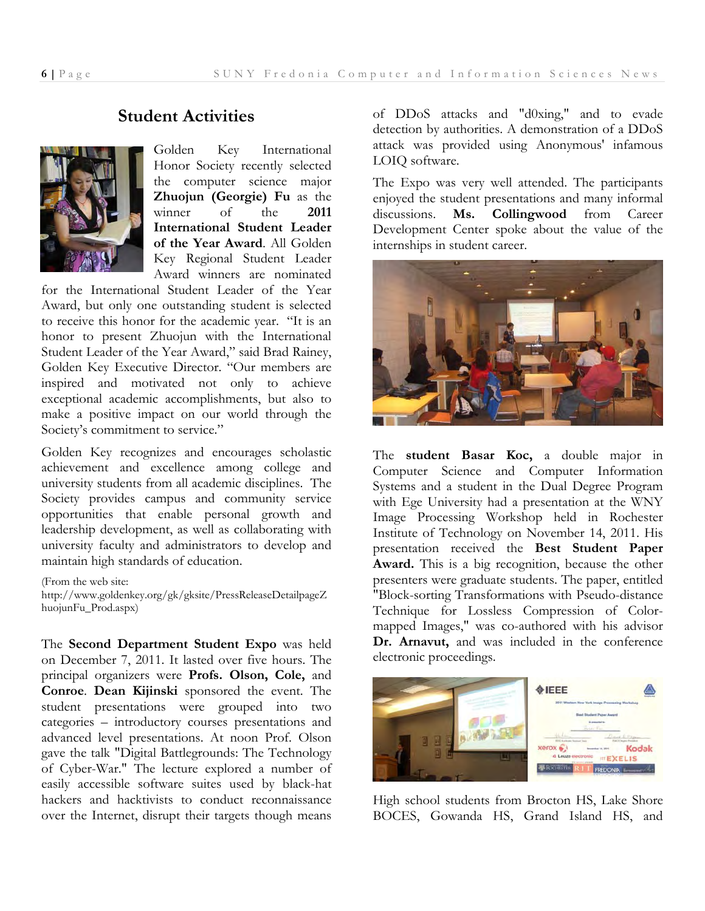#### **Student Activities**



Golden Key International Honor Society recently selected the computer science major **Zhuojun (Georgie) Fu** as the winner of the **2011 International Student Leader of the Year Award**. All Golden Key Regional Student Leader Award winners are nominated

for the International Student Leader of the Year Award, but only one outstanding student is selected to receive this honor for the academic year. "It is an honor to present Zhuojun with the International Student Leader of the Year Award," said Brad Rainey, Golden Key Executive Director. "Our members are inspired and motivated not only to achieve exceptional academic accomplishments, but also to make a positive impact on our world through the Society's commitment to service."

Golden Key recognizes and encourages scholastic achievement and excellence among college and university students from all academic disciplines. The Society provides campus and community service opportunities that enable personal growth and leadership development, as well as collaborating with university faculty and administrators to develop and maintain high standards of education.

(From the web site:

http://www.goldenkey.org/gk/gksite/PressReleaseDetailpageZ huojunFu\_Prod.aspx)

The **Second Department Student Expo** was held on December 7, 2011. It lasted over five hours. The principal organizers were **Profs. Olson, Cole,** and **Conroe**. **Dean Kijinski** sponsored the event. The student presentations were grouped into two categories – introductory courses presentations and advanced level presentations. At noon Prof. Olson gave the talk "Digital Battlegrounds: The Technology of Cyber-War." The lecture explored a number of easily accessible software suites used by black-hat hackers and hacktivists to conduct reconnaissance over the Internet, disrupt their targets though means

of DDoS attacks and "d0xing," and to evade detection by authorities. A demonstration of a DDoS attack was provided using Anonymous' infamous LOIQ software.

The Expo was very well attended. The participants enjoyed the student presentations and many informal discussions. **Ms. Collingwood** from Career Development Center spoke about the value of the internships in student career.



The **student Basar Koc,** a double major in Computer Science and Computer Information Systems and a student in the Dual Degree Program with Ege University had a presentation at the WNY Image Processing Workshop held in Rochester Institute of Technology on November 14, 2011. His presentation received the **Best Student Paper Award.** This is a big recognition, because the other presenters were graduate students. The paper, entitled "Block-sorting Transformations with Pseudo-distance Technique for Lossless Compression of Colormapped Images," was co-authored with his advisor **Dr. Arnavut,** and was included in the conference electronic proceedings.



High school students from Brocton HS, Lake Shore BOCES, Gowanda HS, Grand Island HS, and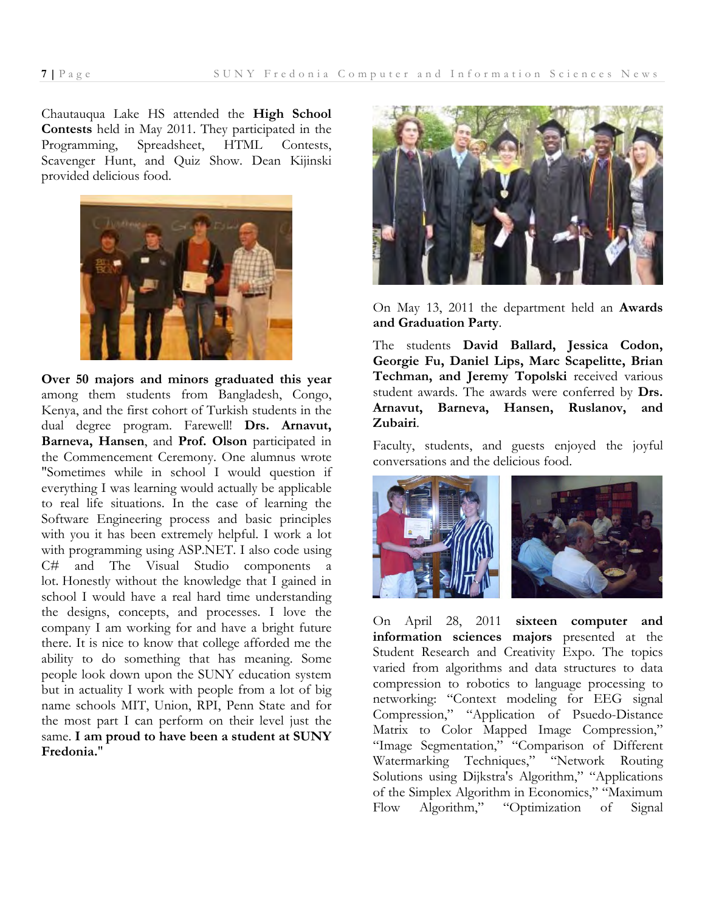Chautauqua Lake HS attended the **High School Contests** held in May 2011. They participated in the Programming, Spreadsheet, HTML Contests, Scavenger Hunt, and Quiz Show. Dean Kijinski provided delicious food.



**Over 50 majors and minors graduated this year** among them students from Bangladesh, Congo, Kenya, and the first cohort of Turkish students in the dual degree program. Farewell! **Drs. Arnavut, Barneva, Hansen**, and **Prof. Olson** participated in the Commencement Ceremony. One alumnus wrote "Sometimes while in school I would question if everything I was learning would actually be applicable to real life situations. In the case of learning the Software Engineering process and basic principles with you it has been extremely helpful. I work a lot with programming using ASP.NET. I also code using C# and The Visual Studio components a lot. Honestly without the knowledge that I gained in school I would have a real hard time understanding the designs, concepts, and processes. I love the company I am working for and have a bright future there. It is nice to know that college afforded me the ability to do something that has meaning. Some people look down upon the SUNY education system but in actuality I work with people from a lot of big name schools MIT, Union, RPI, Penn State and for the most part I can perform on their level just the same. **I am proud to have been a student at SUNY Fredonia.**"



On May 13, 2011 the department held an **Awards and Graduation Party**.

The students **David Ballard, Jessica Codon, Georgie Fu, Daniel Lips, Marc Scapelitte, Brian Techman, and Jeremy Topolski** received various student awards. The awards were conferred by **Drs. Arnavut, Barneva, Hansen, Ruslanov, and Zubairi**.

Faculty, students, and guests enjoyed the joyful conversations and the delicious food.



On April 28, 2011 **sixteen computer and information sciences majors** presented at the Student Research and Creativity Expo. The topics varied from algorithms and data structures to data compression to robotics to language processing to networking: "Context modeling for EEG signal Compression," "Application of Psuedo-Distance Matrix to Color Mapped Image Compression," "Image Segmentation," "Comparison of Different Watermarking Techniques," "Network Routing Solutions using Dijkstra's Algorithm," "Applications of the Simplex Algorithm in Economics," "Maximum Flow Algorithm," "Optimization of Signal